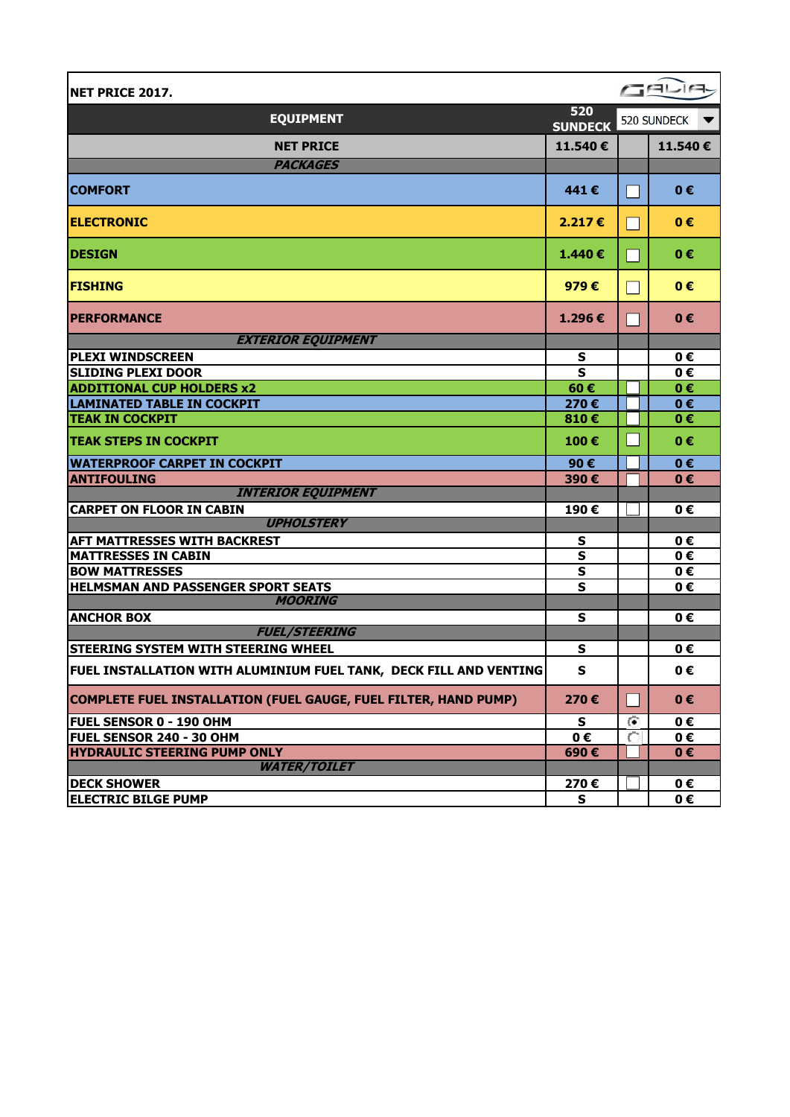| <b>NET PRICE 2017.</b>                                                 |                         |           | GELIA       |
|------------------------------------------------------------------------|-------------------------|-----------|-------------|
| <b>EQUIPMENT</b>                                                       | 520<br><b>SUNDECK</b>   |           | 520 SUNDECK |
| <b>NET PRICE</b>                                                       | 11.540€                 |           | 11.540€     |
| <b>PACKAGES</b>                                                        |                         |           |             |
| <b>COMFORT</b>                                                         | 441€                    |           | $0 \in$     |
| <b>ELECTRONIC</b>                                                      | 2.217€                  |           | 0€          |
| <b>DESIGN</b>                                                          | 1.440€                  |           | 0€          |
| <b>FISHING</b>                                                         | 979 $\epsilon$          |           | $0 \in$     |
| <b>PERFORMANCE</b>                                                     | 1.296€                  |           | $0 \in$     |
| <b>EXTERIOR EQUIPMENT</b>                                              |                         |           |             |
| <b>PLEXI WINDSCREEN</b>                                                | S                       |           | 0€          |
| <b>SLIDING PLEXI DOOR</b>                                              | $\overline{\mathbf{s}}$ |           | 0€          |
| <b>ADDITIONAL CUP HOLDERS x2</b>                                       | 60€                     |           | $0 \in$     |
| <b>LAMINATED TABLE IN COCKPIT</b>                                      | 270€                    |           | $0 \in$     |
| <b>TEAK IN COCKPIT</b>                                                 | 810€                    |           | 0€          |
| <b>TEAK STEPS IN COCKPIT</b>                                           | 100€                    |           | 0€          |
| <b>WATERPROOF CARPET IN COCKPIT</b>                                    | 90€                     |           | 0€          |
| <b>ANTIFOULING</b>                                                     | 390€                    |           | 0€          |
| <b>INTERIOR EQUIPMENT</b>                                              |                         |           |             |
| <b>CARPET ON FLOOR IN CABIN</b>                                        | 190€                    |           | 0€          |
| <b>UPHOLSTERY</b>                                                      |                         |           |             |
| <b>AFT MATTRESSES WITH BACKREST</b>                                    | $\mathsf{s}$            |           | 0€          |
| <b>MATTRESSES IN CABIN</b>                                             | $\mathsf{s}$            |           | 0€          |
| <b>BOW MATTRESSES</b>                                                  | $\mathsf{s}$            |           | 0€          |
| <b>HELMSMAN AND PASSENGER SPORT SEATS</b>                              | $\mathbf{s}$            |           | 0€          |
| <b>MOORING</b>                                                         |                         |           |             |
| <b>ANCHOR BOX</b><br><b>FUEL/STEERING</b>                              | S                       |           | 0€          |
| <b>STEERING SYSTEM WITH STEERING WHEEL</b>                             | s                       |           | 0€          |
|                                                                        |                         |           |             |
| FUEL INSTALLATION WITH ALUMINIUM FUEL TANK, DECK FILL AND VENTING      | $\mathbf{s}$            |           | 0€          |
| <b>COMPLETE FUEL INSTALLATION (FUEL GAUGE, FUEL FILTER, HAND PUMP)</b> | 270€                    |           | $0 \in$     |
| <b>FUEL SENSOR 0 - 190 OHM</b>                                         | S                       | $\bullet$ | 0€          |
| <b>FUEL SENSOR 240 - 30 OHM</b>                                        | 0€                      | C         | 0€          |
| <b>HYDRAULIC STEERING PUMP ONLY</b>                                    | 690€                    |           | $0 \in$     |
| <b>WATER/TOILET</b>                                                    |                         |           |             |
| <b>DECK SHOWER</b>                                                     | 270€                    |           | 0€          |
| <b>ELECTRIC BILGE PUMP</b>                                             | S                       |           | 0€          |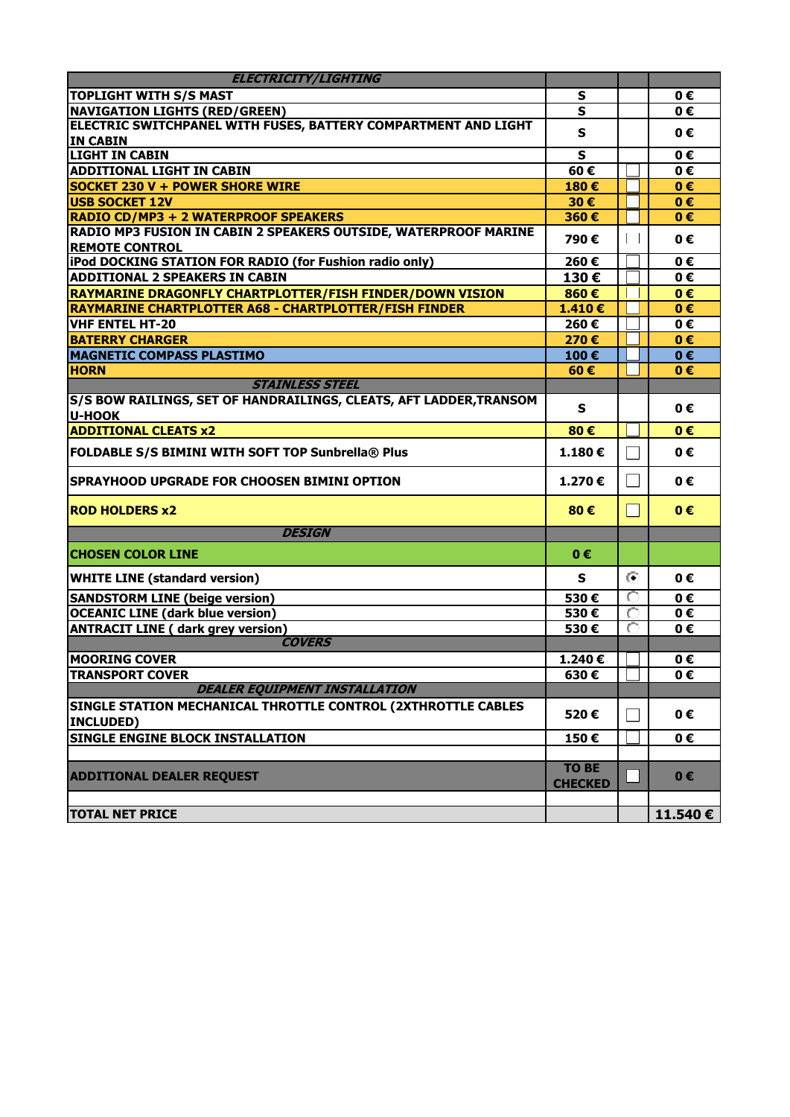| <b>ELECTRICITY/LIGHTING</b>                                                         |                                |                             |         |
|-------------------------------------------------------------------------------------|--------------------------------|-----------------------------|---------|
| <b>TOPLIGHT WITH S/S MAST</b>                                                       | S                              |                             | 0€      |
| <b>NAVIGATION LIGHTS (RED/GREEN)</b>                                                | S                              |                             | 0€      |
| ELECTRIC SWITCHPANEL WITH FUSES, BATTERY COMPARTMENT AND LIGHT                      | $\mathsf{s}$                   |                             | 0€      |
| <b>IN CABIN</b>                                                                     |                                |                             |         |
| <b>LIGHT IN CABIN</b>                                                               | $\mathbf{s}$                   |                             | 0€      |
| <b>ADDITIONAL LIGHT IN CABIN</b>                                                    | 60€                            |                             | 0€      |
| <b>SOCKET 230 V + POWER SHORE WIRE</b>                                              | 180€                           |                             | 0€      |
| <b>USB SOCKET 12V</b>                                                               | 30€                            |                             | $0 \in$ |
| RADIO CD/MP3 + 2 WATERPROOF SPEAKERS                                                | 360€                           |                             | $0 \in$ |
| RADIO MP3 FUSION IN CABIN 2 SPEAKERS OUTSIDE, WATERPROOF MARINE                     | 790€                           | $\mathbf{L}$                | 0€      |
| <b>REMOTE CONTROL</b>                                                               |                                |                             |         |
| iPod DOCKING STATION FOR RADIO (for Fushion radio only)                             | 260€                           |                             | 0€      |
| <b>ADDITIONAL 2 SPEAKERS IN CABIN</b>                                               | 130€                           |                             | 0€      |
| RAYMARINE DRAGONFLY CHARTPLOTTER/FISH FINDER/DOWN VISION                            | 860€                           |                             | 0€      |
| RAYMARINE CHARTPLOTTER A68 - CHARTPLOTTER/FISH FINDER                               | 1.410€                         |                             | $0 \in$ |
| <b>VHF ENTEL HT-20</b>                                                              | 260€                           |                             | 0€      |
| <b>BATERRY CHARGER</b>                                                              | 270€                           |                             | $0 \in$ |
| <b>MAGNETIC COMPASS PLASTIMO</b>                                                    | 100€                           |                             | $0 \in$ |
| <b>HORN</b>                                                                         | 60€                            |                             | 0€      |
| <b>STAINLESS STEEL</b>                                                              |                                |                             |         |
| S/S BOW RAILINGS, SET OF HANDRAILINGS, CLEATS, AFT LADDER, TRANSOM<br><b>U-HOOK</b> | S                              |                             | 0€      |
| <b>ADDITIONAL CLEATS x2</b>                                                         | 80€                            |                             | $0 \in$ |
| FOLDABLE S/S BIMINI WITH SOFT TOP Sunbrella® Plus                                   | 1.180€                         |                             | $0 \in$ |
| SPRAYHOOD UPGRADE FOR CHOOSEN BIMINI OPTION                                         | 1.270€                         |                             | 0€      |
| <b>ROD HOLDERS x2</b>                                                               | 80€                            | $\mathcal{L}_{\mathcal{A}}$ | $0 \in$ |
| <b>DESIGN</b>                                                                       |                                |                             |         |
| <b>CHOSEN COLOR LINE</b>                                                            | 0€                             |                             |         |
| <b>WHITE LINE (standard version)</b>                                                | S                              | $\odot$                     | $0 \in$ |
| <b>SANDSTORM LINE (beige version)</b>                                               | 530€                           | O                           | 0€      |
| <b>OCEANIC LINE (dark blue version)</b>                                             | 530€                           | О                           | 0€      |
| <b>ANTRACIT LINE ( dark grey version)</b>                                           | 530€                           | O                           | 0€      |
| <b>COVERS</b>                                                                       |                                |                             |         |
| <b>MOORING COVER</b>                                                                | 1.240€                         |                             | 0€      |
| <b>TRANSPORT COVER</b>                                                              | 630€                           |                             | 0€      |
| <b>DEALER EQUIPMENT INSTALLATION</b>                                                |                                |                             |         |
| SINGLE STATION MECHANICAL THROTTLE CONTROL (2XTHROTTLE CABLES<br><b>INCLUDED)</b>   | 520€                           | $\vert \ \ \vert$           | 0€      |
| <b>SINGLE ENGINE BLOCK INSTALLATION</b>                                             | 150€                           |                             | 0€      |
|                                                                                     |                                |                             |         |
| <b>ADDITIONAL DEALER REQUEST</b>                                                    | <b>TO BE</b><br><b>CHECKED</b> |                             | $0 \in$ |
| <b>TOTAL NET PRICE</b>                                                              |                                |                             | 11.540€ |
|                                                                                     |                                |                             |         |